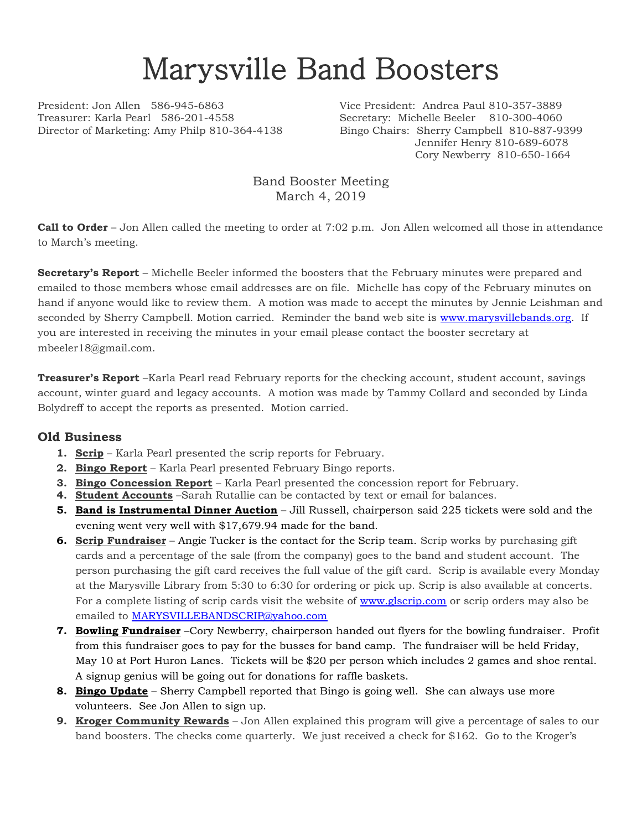## Marysville Band Boosters

President: Jon Allen 586-945-6863 Vice President: Andrea Paul 810-357-3889 Treasurer: Karla Pearl 586-201-4558 Secretary: Michelle Beeler 810-300-4060 Director of Marketing: Amy Philp 810-364-4138 Bingo Chairs: Sherry Campbell 810-887-9399

Jennifer Henry 810-689-6078 Cory Newberry 810-650-1664

Band Booster Meeting March 4, 2019

**Call to Order** – Jon Allen called the meeting to order at 7:02 p.m. Jon Allen welcomed all those in attendance to March's meeting.

**Secretary's Report** – Michelle Beeler informed the boosters that the February minutes were prepared and emailed to those members whose email addresses are on file. Michelle has copy of the February minutes on hand if anyone would like to review them. A motion was made to accept the minutes by Jennie Leishman and seconded by Sherry Campbell. Motion carried. Reminder the band web site is [www.marysvillebands.org.](http://www.marysvillebands.org/) If you are interested in receiving the minutes in your email please contact the booster secretary at mbeeler18@gmail.com.

**Treasurer's Report** –Karla Pearl read February reports for the checking account, student account, savings account, winter guard and legacy accounts. A motion was made by Tammy Collard and seconded by Linda Bolydreff to accept the reports as presented. Motion carried.

## **Old Business**

- **1. Scrip** Karla Pearl presented the scrip reports for February.
- **2. Bingo Report** Karla Pearl presented February Bingo reports.
- **3. Bingo Concession Report** Karla Pearl presented the concession report for February.
- **4. Student Accounts** –Sarah Rutallie can be contacted by text or email for balances.
- **5. Band is Instrumental Dinner Auction** Jill Russell, chairperson said 225 tickets were sold and the evening went very well with \$17,679.94 made for the band.
- **6. Scrip Fundraiser** Angie Tucker is the contact for the Scrip team. Scrip works by purchasing gift cards and a percentage of the sale (from the company) goes to the band and student account. The person purchasing the gift card receives the full value of the gift card. Scrip is available every Monday at the Marysville Library from 5:30 to 6:30 for ordering or pick up. Scrip is also available at concerts. For a complete listing of scrip cards visit the website of [www.glscrip.com](http://www.glscrip.com/) or scrip orders may also be emailed to [MARYSVILLEBANDSCRIP@yahoo.com](mailto:MARYSVILLEBANDSCRIP@yahoo.com)
- **7. Bowling Fundraiser** –Cory Newberry, chairperson handed out flyers for the bowling fundraiser. Profit from this fundraiser goes to pay for the busses for band camp. The fundraiser will be held Friday, May 10 at Port Huron Lanes. Tickets will be \$20 per person which includes 2 games and shoe rental. A signup genius will be going out for donations for raffle baskets.
- **8. Bingo Update** Sherry Campbell reported that Bingo is going well. She can always use more volunteers. See Jon Allen to sign up.
- **9. Kroger Community Rewards** Jon Allen explained this program will give a percentage of sales to our band boosters. The checks come quarterly. We just received a check for \$162. Go to the Kroger's